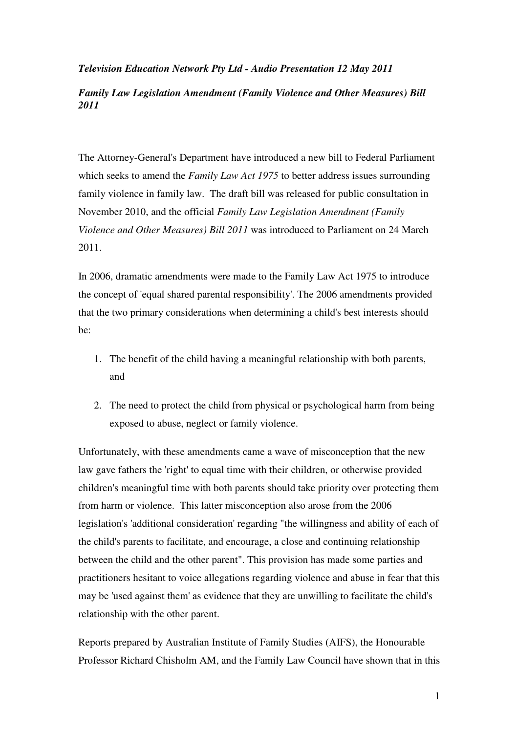#### *Television Education Network Pty Ltd - Audio Presentation 12 May 2011*

#### *Family Law Legislation Amendment (Family Violence and Other Measures) Bill 2011*

The Attorney-General's Department have introduced a new bill to Federal Parliament which seeks to amend the *Family Law Act 1975* to better address issues surrounding family violence in family law. The draft bill was released for public consultation in November 2010, and the official *Family Law Legislation Amendment (Family Violence and Other Measures) Bill 2011* was introduced to Parliament on 24 March 2011.

In 2006, dramatic amendments were made to the Family Law Act 1975 to introduce the concept of 'equal shared parental responsibility'. The 2006 amendments provided that the two primary considerations when determining a child's best interests should be:

- 1. The benefit of the child having a meaningful relationship with both parents, and
- 2. The need to protect the child from physical or psychological harm from being exposed to abuse, neglect or family violence.

Unfortunately, with these amendments came a wave of misconception that the new law gave fathers the 'right' to equal time with their children, or otherwise provided children's meaningful time with both parents should take priority over protecting them from harm or violence. This latter misconception also arose from the 2006 legislation's 'additional consideration' regarding "the willingness and ability of each of the child's parents to facilitate, and encourage, a close and continuing relationship between the child and the other parent". This provision has made some parties and practitioners hesitant to voice allegations regarding violence and abuse in fear that this may be 'used against them' as evidence that they are unwilling to facilitate the child's relationship with the other parent.

Reports prepared by Australian Institute of Family Studies (AIFS), the Honourable Professor Richard Chisholm AM, and the Family Law Council have shown that in this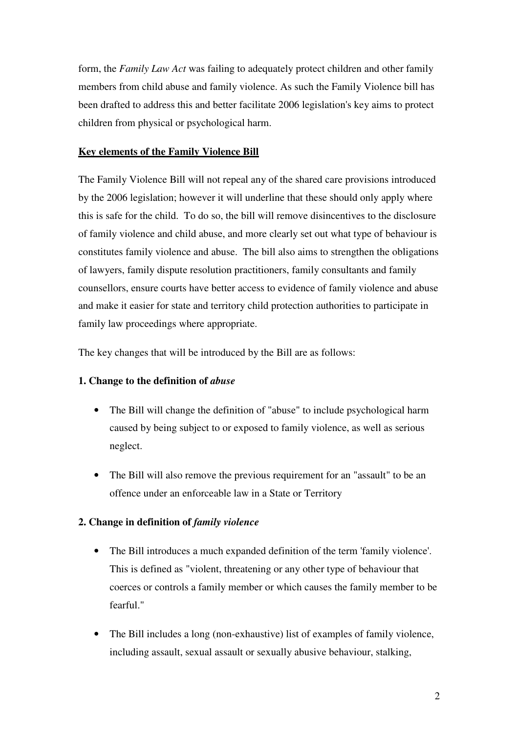form, the *Family Law Act* was failing to adequately protect children and other family members from child abuse and family violence. As such the Family Violence bill has been drafted to address this and better facilitate 2006 legislation's key aims to protect children from physical or psychological harm.

# **Key elements of the Family Violence Bill**

The Family Violence Bill will not repeal any of the shared care provisions introduced by the 2006 legislation; however it will underline that these should only apply where this is safe for the child. To do so, the bill will remove disincentives to the disclosure of family violence and child abuse, and more clearly set out what type of behaviour is constitutes family violence and abuse. The bill also aims to strengthen the obligations of lawyers, family dispute resolution practitioners, family consultants and family counsellors, ensure courts have better access to evidence of family violence and abuse and make it easier for state and territory child protection authorities to participate in family law proceedings where appropriate.

The key changes that will be introduced by the Bill are as follows:

# **1. Change to the definition of** *abuse*

- The Bill will change the definition of "abuse" to include psychological harm caused by being subject to or exposed to family violence, as well as serious neglect.
- The Bill will also remove the previous requirement for an "assault" to be an offence under an enforceable law in a State or Territory

# **2. Change in definition of** *family violence*

- The Bill introduces a much expanded definition of the term 'family violence'. This is defined as "violent, threatening or any other type of behaviour that coerces or controls a family member or which causes the family member to be fearful."
- The Bill includes a long (non-exhaustive) list of examples of family violence, including assault, sexual assault or sexually abusive behaviour, stalking,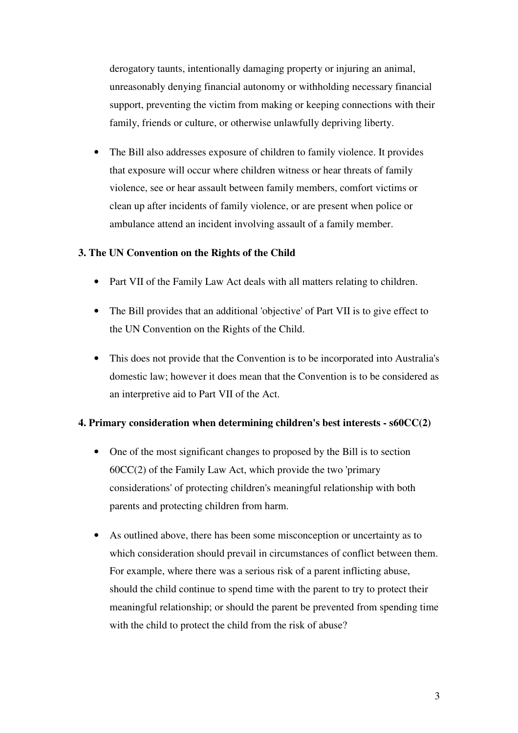derogatory taunts, intentionally damaging property or injuring an animal, unreasonably denying financial autonomy or withholding necessary financial support, preventing the victim from making or keeping connections with their family, friends or culture, or otherwise unlawfully depriving liberty.

• The Bill also addresses exposure of children to family violence. It provides that exposure will occur where children witness or hear threats of family violence, see or hear assault between family members, comfort victims or clean up after incidents of family violence, or are present when police or ambulance attend an incident involving assault of a family member.

# **3. The UN Convention on the Rights of the Child**

- Part VII of the Family Law Act deals with all matters relating to children.
- The Bill provides that an additional 'objective' of Part VII is to give effect to the UN Convention on the Rights of the Child.
- This does not provide that the Convention is to be incorporated into Australia's domestic law; however it does mean that the Convention is to be considered as an interpretive aid to Part VII of the Act.

# **4. Primary consideration when determining children's best interests - s60CC(2)**

- One of the most significant changes to proposed by the Bill is to section  $60CC(2)$  of the Family Law Act, which provide the two 'primary considerations' of protecting children's meaningful relationship with both parents and protecting children from harm.
- As outlined above, there has been some misconception or uncertainty as to which consideration should prevail in circumstances of conflict between them. For example, where there was a serious risk of a parent inflicting abuse, should the child continue to spend time with the parent to try to protect their meaningful relationship; or should the parent be prevented from spending time with the child to protect the child from the risk of abuse?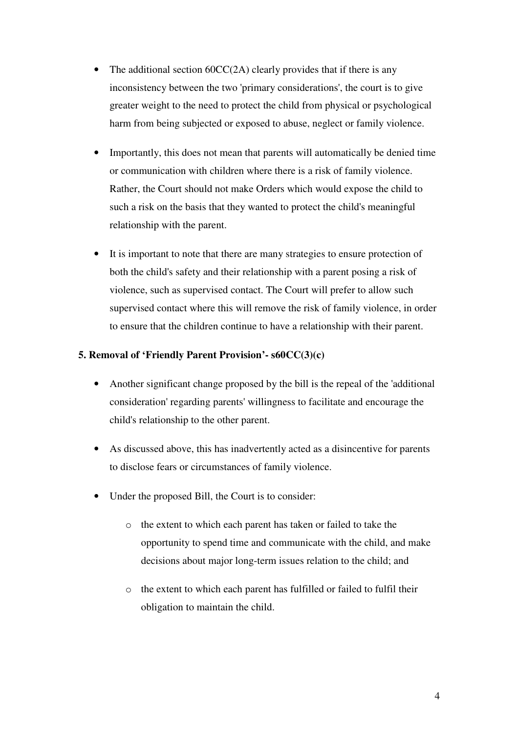- The additional section  $60CC(2A)$  clearly provides that if there is any inconsistency between the two 'primary considerations', the court is to give greater weight to the need to protect the child from physical or psychological harm from being subjected or exposed to abuse, neglect or family violence.
- Importantly, this does not mean that parents will automatically be denied time or communication with children where there is a risk of family violence. Rather, the Court should not make Orders which would expose the child to such a risk on the basis that they wanted to protect the child's meaningful relationship with the parent.
- It is important to note that there are many strategies to ensure protection of both the child's safety and their relationship with a parent posing a risk of violence, such as supervised contact. The Court will prefer to allow such supervised contact where this will remove the risk of family violence, in order to ensure that the children continue to have a relationship with their parent.

# **5. Removal of 'Friendly Parent Provision'- s60CC(3)(c)**

- Another significant change proposed by the bill is the repeal of the 'additional consideration' regarding parents' willingness to facilitate and encourage the child's relationship to the other parent.
- As discussed above, this has inadvertently acted as a disincentive for parents to disclose fears or circumstances of family violence.
- Under the proposed Bill, the Court is to consider:
	- o the extent to which each parent has taken or failed to take the opportunity to spend time and communicate with the child, and make decisions about major long-term issues relation to the child; and
	- o the extent to which each parent has fulfilled or failed to fulfil their obligation to maintain the child.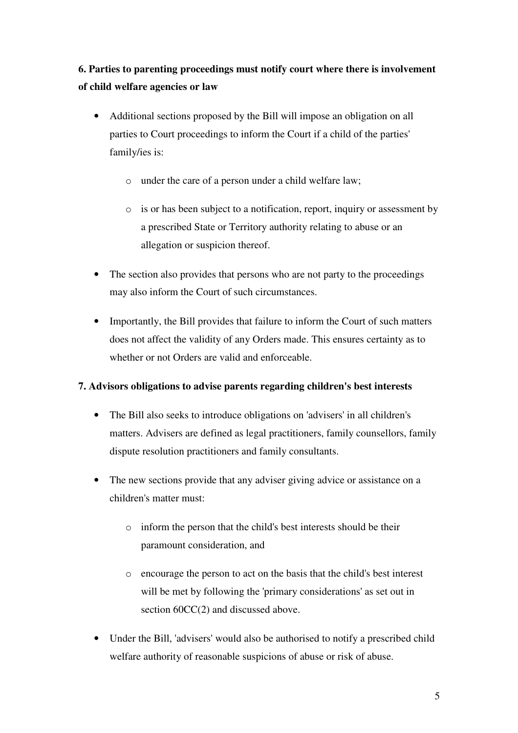**6. Parties to parenting proceedings must notify court where there is involvement of child welfare agencies or law** 

- Additional sections proposed by the Bill will impose an obligation on all parties to Court proceedings to inform the Court if a child of the parties' family/ies is:
	- o under the care of a person under a child welfare law;
	- o is or has been subject to a notification, report, inquiry or assessment by a prescribed State or Territory authority relating to abuse or an allegation or suspicion thereof.
- The section also provides that persons who are not party to the proceedings may also inform the Court of such circumstances.
- Importantly, the Bill provides that failure to inform the Court of such matters does not affect the validity of any Orders made. This ensures certainty as to whether or not Orders are valid and enforceable.

# **7. Advisors obligations to advise parents regarding children's best interests**

- The Bill also seeks to introduce obligations on 'advisers' in all children's matters. Advisers are defined as legal practitioners, family counsellors, family dispute resolution practitioners and family consultants.
- The new sections provide that any adviser giving advice or assistance on a children's matter must:
	- o inform the person that the child's best interests should be their paramount consideration, and
	- o encourage the person to act on the basis that the child's best interest will be met by following the 'primary considerations' as set out in section  $60CC(2)$  and discussed above.
- Under the Bill, 'advisers' would also be authorised to notify a prescribed child welfare authority of reasonable suspicions of abuse or risk of abuse.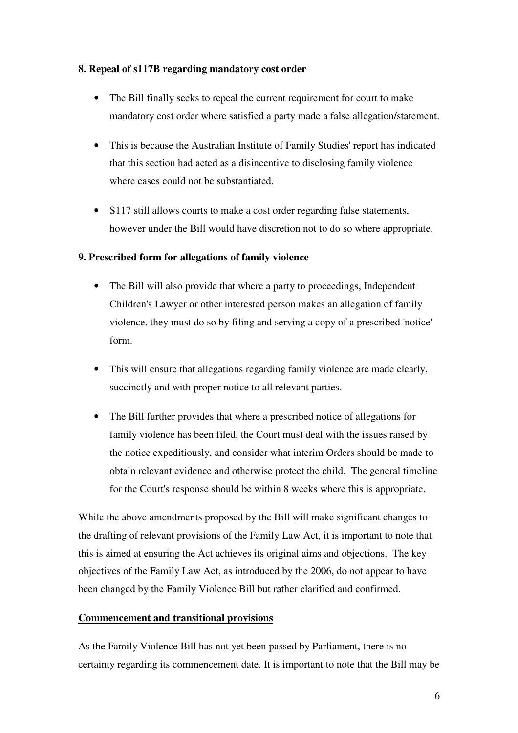#### **8. Repeal of s117B regarding mandatory cost order**

- The Bill finally seeks to repeal the current requirement for court to make mandatory cost order where satisfied a party made a false allegation/statement.
- This is because the Australian Institute of Family Studies' report has indicated that this section had acted as a disincentive to disclosing family violence where cases could not be substantiated.
- S117 still allows courts to make a cost order regarding false statements, however under the Bill would have discretion not to do so where appropriate.

# **9. Prescribed form for allegations of family violence**

- The Bill will also provide that where a party to proceedings, Independent Children's Lawyer or other interested person makes an allegation of family violence, they must do so by filing and serving a copy of a prescribed 'notice' form.
- This will ensure that allegations regarding family violence are made clearly, succinctly and with proper notice to all relevant parties.
- The Bill further provides that where a prescribed notice of allegations for family violence has been filed, the Court must deal with the issues raised by the notice expeditiously, and consider what interim Orders should be made to obtain relevant evidence and otherwise protect the child. The general timeline for the Court's response should be within 8 weeks where this is appropriate.

While the above amendments proposed by the Bill will make significant changes to the drafting of relevant provisions of the Family Law Act, it is important to note that this is aimed at ensuring the Act achieves its original aims and objections. The key objectives of the Family Law Act, as introduced by the 2006, do not appear to have been changed by the Family Violence Bill but rather clarified and confirmed.

# **Commencement and transitional provisions**

As the Family Violence Bill has not yet been passed by Parliament, there is no certainty regarding its commencement date. It is important to note that the Bill may be